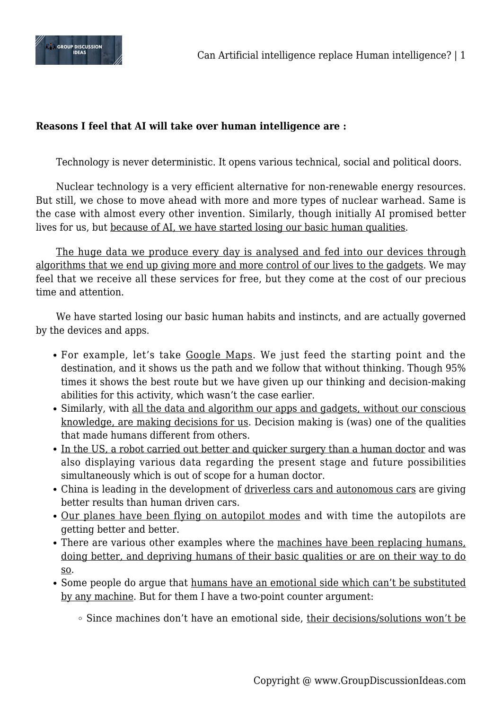

## **Reasons I feel that AI will take over human intelligence are :**

Technology is never deterministic. It opens various technical, social and political doors.

Nuclear technology is a very efficient alternative for non-renewable energy resources. But still, we chose to move ahead with more and more types of nuclear warhead. Same is the case with almost every other invention. Similarly, though initially AI promised better lives for us, but because of AI, we have started losing our basic human qualities.

The huge data we produce every day is analysed and fed into our devices through algorithms that we end up giving more and more control of our lives to the gadgets. We may feel that we receive all these services for free, but they come at the cost of our precious time and attention.

We have started losing our basic human habits and instincts, and are actually governed by the devices and apps.

- For example, let's take Google Maps. We just feed the starting point and the destination, and it shows us the path and we follow that without thinking. Though 95% times it shows the best route but we have given up our thinking and decision-making abilities for this activity, which wasn't the case earlier.
- Similarly, with all the data and algorithm our apps and gadgets, without our conscious knowledge, are making decisions for us. Decision making is (was) one of the qualities that made humans different from others.
- In the US, a robot carried out better and quicker surgery than a human doctor and was also displaying various data regarding the present stage and future possibilities simultaneously which is out of scope for a human doctor.
- China is leading in the development of driverless cars and autonomous cars are giving better results than human driven cars.
- Our planes have been flying on autopilot modes and with time the autopilots are getting better and better.
- There are various other examples where the machines have been replacing humans, doing better, and depriving humans of their basic qualities or are on their way to do so.
- Some people do argue that humans have an emotional side which can't be substituted by any machine. But for them I have a two-point counter argument:
	- <sup>o</sup> Since machines don't have an emotional side, their decisions/solutions won't be